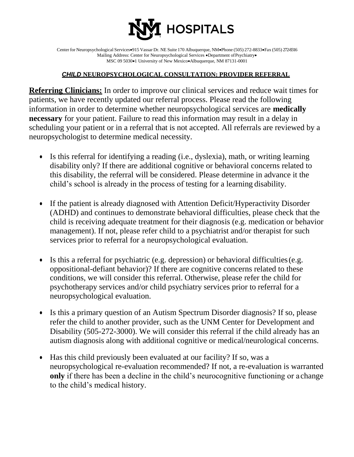

Center for Neuropsychological Services $\bullet$ 915 Vassar Dr. NE Suite 170 Albuquerque, NM $\bullet$ Phone (505) 272-8833 $\bullet$ Fax (505) 272-8316 Mailing Address: Center for Neuropsychological Services .Department of Psychiatry. MSC 09 5030 $\bullet$ 1 University of New Mexico $\bullet$ Albuquerque, NM 87131-0001

## *CHILD* **NEUROPSYCHOLOGICAL CONSULTATION: PROVIDER REFERRAL**

**Referring Clinicians:** In order to improve our clinical services and reduce wait times for patients, we have recently updated our referral process. Please read the following information in order to determine whether neuropsychological services are **medically necessary** for your patient. Failure to read this information may result in a delay in scheduling your patient or in a referral that is not accepted. All referrals are reviewed by a neuropsychologist to determine medical necessity.

- Is this referral for identifying a reading (i.e., dyslexia), math, or writing learning disability only? If there are additional cognitive or behavioral concerns related to this disability, the referral will be considered. Please determine in advance it the child's school is already in the process of testing for a learning disability.
- If the patient is already diagnosed with Attention Deficit/Hyperactivity Disorder (ADHD) and continues to demonstrate behavioral difficulties, please check that the child is receiving adequate treatment for their diagnosis (e.g. medication or behavior management). If not, please refer child to a psychiatrist and/or therapist for such services prior to referral for a neuropsychological evaluation.
- Is this a referral for psychiatric (e.g. depression) or behavioral difficulties (e.g. oppositional-defiant behavior)? If there are cognitive concerns related to these conditions, we will consider this referral. Otherwise, please refer the child for psychotherapy services and/or child psychiatry services prior to referral for a neuropsychological evaluation.
- Is this a primary question of an Autism Spectrum Disorder diagnosis? If so, please refer the child to another provider, such as the UNM Center for Development and Disability (505-272-3000). We will consider this referral if the child already has an autism diagnosis along with additional cognitive or medical/neurological concerns.
- Has this child previously been evaluated at our facility? If so, was a neuropsychological re-evaluation recommended? If not, a re-evaluation is warranted **only** if there has been a decline in the child's neurocognitive functioning or a change to the child's medical history.